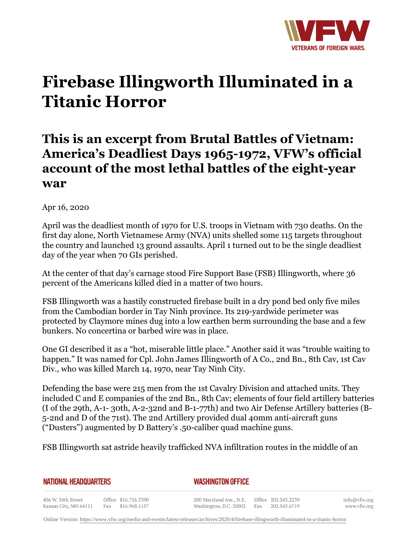

# **Firebase Illingworth Illuminated in a Titanic Horror**

# **This is an excerpt from Brutal Battles of Vietnam: America's Deadliest Days 1965-1972, VFW's official account of the most lethal battles of the eight-year war**

#### Apr 16, 2020

April was the deadliest month of 1970 for U.S. troops in Vietnam with 730 deaths. On the first day alone, North Vietnamese Army (NVA) units shelled some 115 targets throughout the country and launched 13 ground assaults. April 1 turned out to be the single deadliest day of the year when 70 GIs perished.

At the center of that day's carnage stood Fire Support Base (FSB) Illingworth, where 36 percent of the Americans killed died in a matter of two hours.

FSB Illingworth was a hastily constructed firebase built in a dry pond bed only five miles from the Cambodian border in Tay Ninh province. Its 219-yardwide perimeter was protected by Claymore mines dug into a low earthen berm surrounding the base and a few bunkers. No concertina or barbed wire was in place.

One GI described it as a "hot, miserable little place." Another said it was "trouble waiting to happen." It was named for Cpl. John James Illingworth of A Co., 2nd Bn., 8th Cav, 1st Cav Div., who was killed March 14, 1970, near Tay Ninh City.

Defending the base were 215 men from the 1st Cavalry Division and attached units. They included C and E companies of the 2nd Bn., 8th Cav; elements of four field artillery batteries (I of the 29th, A-1- 30th, A-2-32nd and B-1-77th) and two Air Defense Artillery batteries (B-5-2nd and D of the 71st). The 2nd Artillery provided dual 40mm anti-aircraft guns ("Dusters") augmented by D Battery's .50-caliber quad machine guns.

FSB Illingworth sat astride heavily trafficked NVA infiltration routes in the middle of an

| NATIONAL HEADQUARTERS |  |  |
|-----------------------|--|--|
|-----------------------|--|--|

*WASHINGTON OFFICE* 

406 W. 34th Street Office 816.756.3390 Fax 816.968.1157 Kansas City, MO 64111

200 Maryland Ave., N.E. Washington, D.C. 20002

Office 202.543.2239 Fax 202.543.6719

info@vfw.org www.vfw.org

Online Version:<https://www.vfw.org/media-and-events/latest-releases/archives/2020/4/firebase-illingworth-illuminated-in-a-titanic-horror>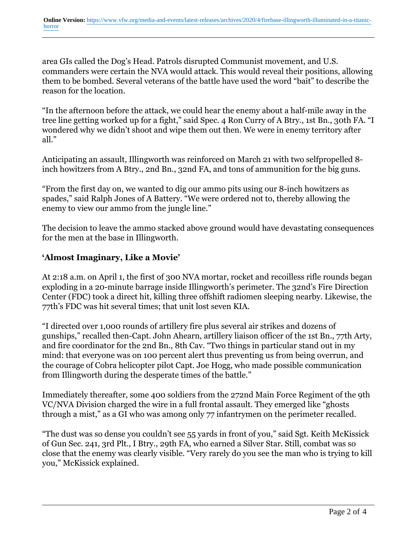area GIs called the Dog's Head. Patrols disrupted Communist movement, and U.S. commanders were certain the NVA would attack. This would reveal their positions, allowing them to be bombed. Several veterans of the battle have used the word "bait" to describe the reason for the location.

"In the afternoon before the attack, we could hear the enemy about a half-mile away in the tree line getting worked up for a fight," said Spec. 4 Ron Curry of A Btry., 1st Bn., 30th FA. "I wondered why we didn't shoot and wipe them out then. We were in enemy territory after all."

Anticipating an assault, Illingworth was reinforced on March 21 with two selfpropelled 8 inch howitzers from A Btry., 2nd Bn., 32nd FA, and tons of ammunition for the big guns.

"From the first day on, we wanted to dig our ammo pits using our 8-inch howitzers as spades," said Ralph Jones of A Battery. "We were ordered not to, thereby allowing the enemy to view our ammo from the jungle line."

The decision to leave the ammo stacked above ground would have devastating consequences for the men at the base in Illingworth.

## **'Almost Imaginary, Like a Movie'**

At 2:18 a.m. on April 1, the first of 300 NVA mortar, rocket and recoilless rifle rounds began exploding in a 20-minute barrage inside Illingworth's perimeter. The 32nd's Fire Direction Center (FDC) took a direct hit, killing three offshift radiomen sleeping nearby. Likewise, the 77th's FDC was hit several times; that unit lost seven KIA.

"I directed over 1,000 rounds of artillery fire plus several air strikes and dozens of gunships," recalled then-Capt. John Ahearn, artillery liaison officer of the 1st Bn., 77th Arty, and fire coordinator for the 2nd Bn., 8th Cav. "Two things in particular stand out in my mind: that everyone was on 100 percent alert thus preventing us from being overrun, and the courage of Cobra helicopter pilot Capt. Joe Hogg, who made possible communication from Illingworth during the desperate times of the battle."

Immediately thereafter, some 400 soldiers from the 272nd Main Force Regiment of the 9th VC/NVA Division charged the wire in a full frontal assault. They emerged like "ghosts through a mist," as a GI who was among only 77 infantrymen on the perimeter recalled.

"The dust was so dense you couldn't see 55 yards in front of you," said Sgt. Keith McKissick of Gun Sec. 241, 3rd Plt., I Btry., 29th FA, who earned a Silver Star. Still, combat was so close that the enemy was clearly visible. "Very rarely do you see the man who is trying to kill you," McKissick explained.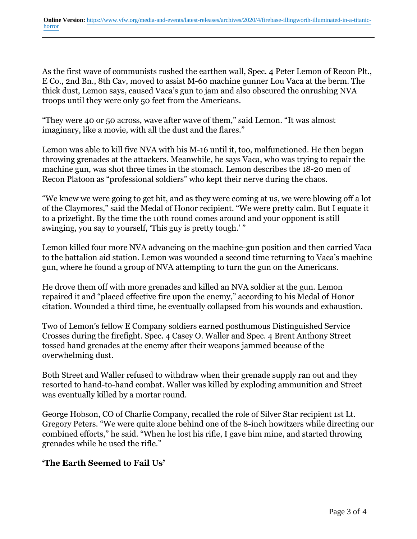As the first wave of communists rushed the earthen wall, Spec. 4 Peter Lemon of Recon Plt., E Co., 2nd Bn., 8th Cav, moved to assist M-60 machine gunner Lou Vaca at the berm. The thick dust, Lemon says, caused Vaca's gun to jam and also obscured the onrushing NVA troops until they were only 50 feet from the Americans.

"They were 40 or 50 across, wave after wave of them," said Lemon. "It was almost imaginary, like a movie, with all the dust and the flares."

Lemon was able to kill five NVA with his M-16 until it, too, malfunctioned. He then began throwing grenades at the attackers. Meanwhile, he says Vaca, who was trying to repair the machine gun, was shot three times in the stomach. Lemon describes the 18-20 men of Recon Platoon as "professional soldiers" who kept their nerve during the chaos.

"We knew we were going to get hit, and as they were coming at us, we were blowing off a lot of the Claymores," said the Medal of Honor recipient. "We were pretty calm. But I equate it to a prizefight. By the time the 10th round comes around and your opponent is still swinging, you say to yourself, 'This guy is pretty tough.' "

Lemon killed four more NVA advancing on the machine-gun position and then carried Vaca to the battalion aid station. Lemon was wounded a second time returning to Vaca's machine gun, where he found a group of NVA attempting to turn the gun on the Americans.

He drove them off with more grenades and killed an NVA soldier at the gun. Lemon repaired it and "placed effective fire upon the enemy," according to his Medal of Honor citation. Wounded a third time, he eventually collapsed from his wounds and exhaustion.

Two of Lemon's fellow E Company soldiers earned posthumous Distinguished Service Crosses during the firefight. Spec. 4 Casey O. Waller and Spec. 4 Brent Anthony Street tossed hand grenades at the enemy after their weapons jammed because of the overwhelming dust.

Both Street and Waller refused to withdraw when their grenade supply ran out and they resorted to hand-to-hand combat. Waller was killed by exploding ammunition and Street was eventually killed by a mortar round.

George Hobson, CO of Charlie Company, recalled the role of Silver Star recipient 1st Lt. Gregory Peters. "We were quite alone behind one of the 8-inch howitzers while directing our combined efforts," he said. "When he lost his rifle, I gave him mine, and started throwing grenades while he used the rifle."

### **'The Earth Seemed to Fail Us'**